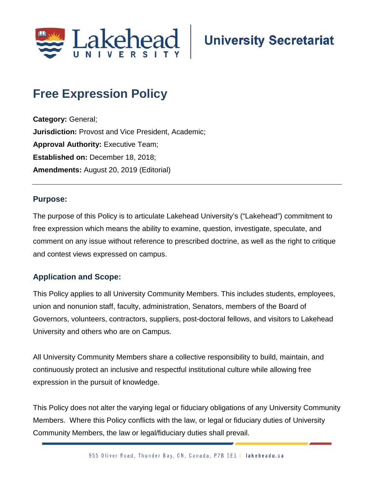

# **University Secretariat**

## **Free Expression Policy**

**Category:** General; **Jurisdiction:** Provost and Vice President, Academic; **Approval Authority: Executive Team; Established on:** December 18, 2018; **Amendments:** August 20, 2019 (Editorial)

#### **Purpose:**

The purpose of this Policy is to articulate Lakehead University's ("Lakehead") commitment to free expression which means the ability to examine, question, investigate, speculate, and comment on any issue without reference to prescribed doctrine, as well as the right to critique and contest views expressed on campus.

#### **Application and Scope:**

This Policy applies to all University Community Members. This includes students, employees, union and nonunion staff, faculty, administration, Senators, members of the Board of Governors, volunteers, contractors, suppliers, post-doctoral fellows, and visitors to Lakehead University and others who are on Campus.

All University Community Members share a collective responsibility to build, maintain, and continuously protect an inclusive and respectful institutional culture while allowing free expression in the pursuit of knowledge.

This Policy does not alter the varying legal or fiduciary obligations of any University Community Members. Where this Policy conflicts with the law, or legal or fiduciary duties of University Community Members, the law or legal/fiduciary duties shall prevail.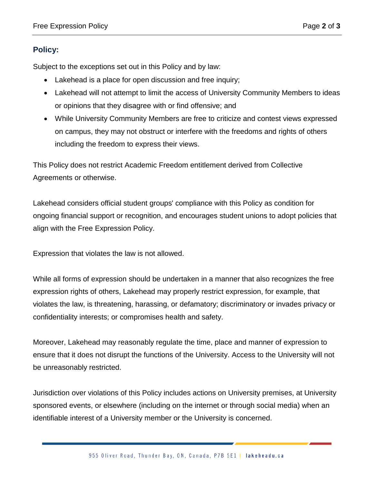### **Policy:**

Subject to the exceptions set out in this Policy and by law:

- Lakehead is a place for open discussion and free inquiry;
- Lakehead will not attempt to limit the access of University Community Members to ideas or opinions that they disagree with or find offensive; and
- While University Community Members are free to criticize and contest views expressed on campus, they may not obstruct or interfere with the freedoms and rights of others including the freedom to express their views.

This Policy does not restrict Academic Freedom entitlement derived from Collective Agreements or otherwise.

Lakehead considers official student groups' compliance with this Policy as condition for ongoing financial support or recognition, and encourages student unions to adopt policies that align with the Free Expression Policy.

Expression that violates the law is not allowed.

While all forms of expression should be undertaken in a manner that also recognizes the free expression rights of others, Lakehead may properly restrict expression, for example, that violates the law, is threatening, harassing, or defamatory; discriminatory or invades privacy or confidentiality interests; or compromises health and safety.

Moreover, Lakehead may reasonably regulate the time, place and manner of expression to ensure that it does not disrupt the functions of the University. Access to the University will not be unreasonably restricted.

Jurisdiction over violations of this Policy includes actions on University premises, at University sponsored events, or elsewhere (including on the internet or through social media) when an identifiable interest of a University member or the University is concerned.